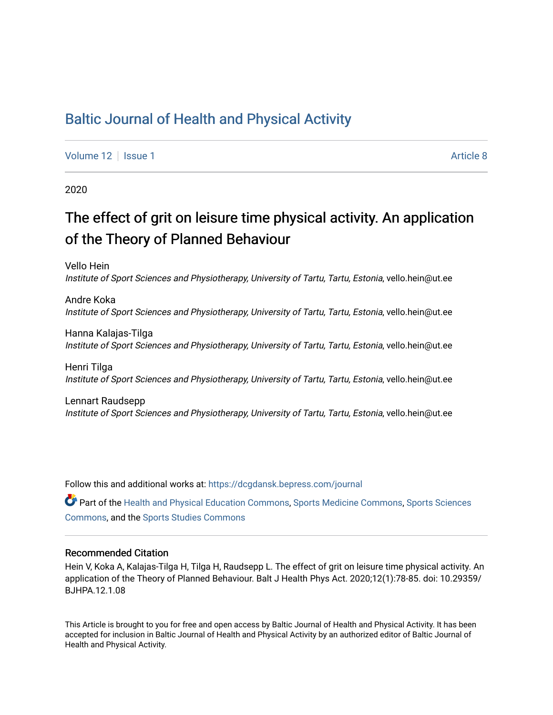### [Baltic Journal of Health and Physical Activity](https://dcgdansk.bepress.com/journal)

[Volume 12](https://dcgdansk.bepress.com/journal/vol12) | [Issue 1](https://dcgdansk.bepress.com/journal/vol12/iss1) Article 8

2020

## The effect of grit on leisure time physical activity. An application of the Theory of Planned Behaviour

Vello Hein Institute of Sport Sciences and Physiotherapy, University of Tartu, Tartu, Estonia, vello.hein@ut.ee

Andre Koka Institute of Sport Sciences and Physiotherapy, University of Tartu, Tartu, Estonia, vello.hein@ut.ee

Hanna Kalajas-Tilga Institute of Sport Sciences and Physiotherapy, University of Tartu, Tartu, Estonia, vello.hein@ut.ee

Henri Tilga Institute of Sport Sciences and Physiotherapy, University of Tartu, Tartu, Estonia, vello.hein@ut.ee

Lennart Raudsepp Institute of Sport Sciences and Physiotherapy, University of Tartu, Tartu, Estonia, vello.hein@ut.ee

Follow this and additional works at: [https://dcgdansk.bepress.com/journal](https://dcgdansk.bepress.com/journal?utm_source=dcgdansk.bepress.com%2Fjournal%2Fvol12%2Fiss1%2F8&utm_medium=PDF&utm_campaign=PDFCoverPages)

Part of the [Health and Physical Education Commons](http://network.bepress.com/hgg/discipline/1327?utm_source=dcgdansk.bepress.com%2Fjournal%2Fvol12%2Fiss1%2F8&utm_medium=PDF&utm_campaign=PDFCoverPages), [Sports Medicine Commons,](http://network.bepress.com/hgg/discipline/1331?utm_source=dcgdansk.bepress.com%2Fjournal%2Fvol12%2Fiss1%2F8&utm_medium=PDF&utm_campaign=PDFCoverPages) [Sports Sciences](http://network.bepress.com/hgg/discipline/759?utm_source=dcgdansk.bepress.com%2Fjournal%2Fvol12%2Fiss1%2F8&utm_medium=PDF&utm_campaign=PDFCoverPages) [Commons](http://network.bepress.com/hgg/discipline/759?utm_source=dcgdansk.bepress.com%2Fjournal%2Fvol12%2Fiss1%2F8&utm_medium=PDF&utm_campaign=PDFCoverPages), and the [Sports Studies Commons](http://network.bepress.com/hgg/discipline/1198?utm_source=dcgdansk.bepress.com%2Fjournal%2Fvol12%2Fiss1%2F8&utm_medium=PDF&utm_campaign=PDFCoverPages) 

#### Recommended Citation

Hein V, Koka A, Kalajas-Tilga H, Tilga H, Raudsepp L. The effect of grit on leisure time physical activity. An application of the Theory of Planned Behaviour. Balt J Health Phys Act. 2020;12(1):78-85. doi: 10.29359/ BJHPA.12.1.08

This Article is brought to you for free and open access by Baltic Journal of Health and Physical Activity. It has been accepted for inclusion in Baltic Journal of Health and Physical Activity by an authorized editor of Baltic Journal of Health and Physical Activity.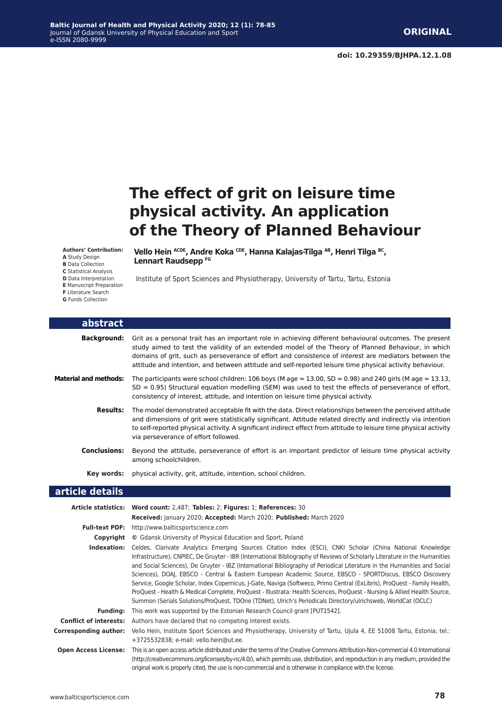# **The effect of grit on leisure time physical activity. An application of the Theory of Planned Behaviour**

**Authors' Contribution:**

- **A** Study Design
- **B** Data Collection
- **C** Statistical Analysis
- **D** Data Interpretation
- **E** Manuscript Preparation
- **F** Literature Search
- **G** Funds Collection

Г

Vello Hein <sup>ACDE</sup>, Andre Koka CDE, Hanna Kalajas-Tilga <sup>AB</sup>, Henri Tilga <sup>BC</sup>, **Lennart Raudsepp FG**

Institute of Sport Sciences and Physiotherapy, University of Tartu, Tartu, Estonia

| <b>abstract</b>              |                                                                                                                                                                                                                                                                                                                                                                                                                                    |
|------------------------------|------------------------------------------------------------------------------------------------------------------------------------------------------------------------------------------------------------------------------------------------------------------------------------------------------------------------------------------------------------------------------------------------------------------------------------|
| <b>Background:</b>           | Grit as a personal trait has an important role in achieving different behavioural outcomes. The present<br>study aimed to test the validity of an extended model of the Theory of Planned Behaviour, in which<br>domains of grit, such as perseverance of effort and consistence of interest are mediators between the<br>attitude and intention, and between attitude and self-reported leisure time physical activity behaviour. |
| <b>Material and methods:</b> | The participants were school children: 106 boys (M age = 13.00, SD = 0.98) and 240 girls (M age = 13.13,<br>$SD = 0.95$ ) Structural equation modelling (SEM) was used to test the effects of perseverance of effort,<br>consistency of interest, attitude, and intention on leisure time physical activity.                                                                                                                       |
| <b>Results:</b>              | The model demonstrated acceptable fit with the data. Direct relationships between the perceived attitude<br>and dimensions of grit were statistically significant. Attitude related directly and indirectly via intention<br>to self-reported physical activity. A significant indirect effect from attitude to leisure time physical activity<br>via perseverance of effort followed.                                             |
| <b>Conclusions:</b>          | Beyond the attitude, perseverance of effort is an important predictor of leisure time physical activity<br>among schoolchildren.                                                                                                                                                                                                                                                                                                   |
| Key words:                   | physical activity, grit, attitude, intention, school children.                                                                                                                                                                                                                                                                                                                                                                     |
| article details              |                                                                                                                                                                                                                                                                                                                                                                                                                                    |
|                              | Article statistics: Word count: 2,487; Tables: 2; Figures: 1; References: 30<br>Received: January 2020; Accepted: March 2020; Published: March 2020                                                                                                                                                                                                                                                                                |

| <b>Full-text PDF:</b>         | http://www.balticsportscience.com                                                                                                                                                                                                                                                                                                                                                                                                                                                                                                                                                                                                                                                                                                                                                                                                                          |  |  |  |  |  |  |
|-------------------------------|------------------------------------------------------------------------------------------------------------------------------------------------------------------------------------------------------------------------------------------------------------------------------------------------------------------------------------------------------------------------------------------------------------------------------------------------------------------------------------------------------------------------------------------------------------------------------------------------------------------------------------------------------------------------------------------------------------------------------------------------------------------------------------------------------------------------------------------------------------|--|--|--|--|--|--|
| Copyright                     | © Gdansk University of Physical Education and Sport, Poland                                                                                                                                                                                                                                                                                                                                                                                                                                                                                                                                                                                                                                                                                                                                                                                                |  |  |  |  |  |  |
| Indexation:                   | Celdes, Clarivate Analytics Emerging Sources Citation Index (ESCI), CNKI Scholar (China National Knowledge<br>Infrastructure), CNPIEC, De Gruyter - IBR (International Bibliography of Reviews of Scholarly Literature in the Humanities<br>and Social Sciences), De Gruyter - IBZ (International Bibliography of Periodical Literature in the Humanities and Social<br>Sciences), DOAJ, EBSCO - Central & Eastern European Academic Source, EBSCO - SPORTDiscus, EBSCO Discovery<br>Service, Google Scholar, Index Copernicus, J-Gate, Naviga (Softweco, Primo Central (ExLibris), ProQuest - Family Health,<br>ProQuest - Health & Medical Complete, ProQuest - Illustrata: Health Sciences, ProQuest - Nursing & Allied Health Source,<br>Summon (Serials Solutions/ProQuest, TDOne (TDNet), Ulrich's Periodicals Directory/ulrichsweb, WorldCat (OCLC) |  |  |  |  |  |  |
| Fundina:                      | This work was supported by the Estonian Research Council grant [PUT1542].                                                                                                                                                                                                                                                                                                                                                                                                                                                                                                                                                                                                                                                                                                                                                                                  |  |  |  |  |  |  |
| <b>Conflict of interests:</b> | Authors have declared that no competing interest exists.                                                                                                                                                                                                                                                                                                                                                                                                                                                                                                                                                                                                                                                                                                                                                                                                   |  |  |  |  |  |  |
| <b>Corresponding author:</b>  | Vello Hein, Institute Sport Sciences and Physiotherapy, University of Tartu, Ujula 4, EE 51008 Tartu, Estonia; tel.:<br>+3725532838; e-mail: vello.hein@ut.ee.                                                                                                                                                                                                                                                                                                                                                                                                                                                                                                                                                                                                                                                                                             |  |  |  |  |  |  |
| <b>Open Access License:</b>   | This is an open access article distributed under the terms of the Creative Commons Attribution-Non-commercial 4.0 International<br>(http://creativecommons.org/licenses/by-nc/4.0/), which permits use, distribution, and reproduction in any medium, provided the<br>original work is properly cited, the use is non-commercial and is otherwise in compliance with the license.                                                                                                                                                                                                                                                                                                                                                                                                                                                                          |  |  |  |  |  |  |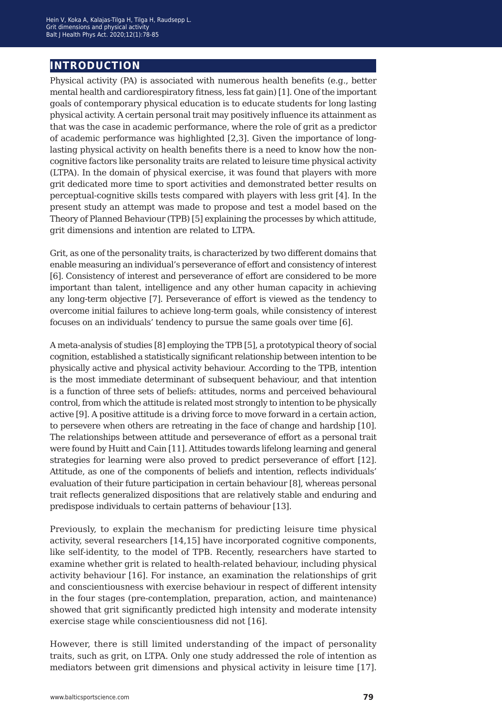### **introduction**

Physical activity (PA) is associated with numerous health benefits (e.g., better mental health and cardiorespiratory fitness, less fat gain) [1]. One of the important goals of contemporary physical education is to educate students for long lasting physical activity. A certain personal trait may positively influence its attainment as that was the case in academic performance, where the role of grit as a predictor of academic performance was highlighted [2,3]. Given the importance of longlasting physical activity on health benefits there is a need to know how the noncognitive factors like personality traits are related to leisure time physical activity (LTPA). In the domain of physical exercise, it was found that players with more grit dedicated more time to sport activities and demonstrated better results on perceptual-cognitive skills tests compared with players with less grit [4]. In the present study an attempt was made to propose and test a model based on the Theory of Planned Behaviour (TPB) [5] explaining the processes by which attitude, grit dimensions and intention are related to LTPA.

Grit, as one of the personality traits, is characterized by two different domains that enable measuring an individual's perseverance of effort and consistency of interest [6]. Consistency of interest and perseverance of effort are considered to be more important than talent, intelligence and any other human capacity in achieving any long-term objective [7]. Perseverance of effort is viewed as the tendency to overcome initial failures to achieve long-term goals, while consistency of interest focuses on an individuals' tendency to pursue the same goals over time [6].

A meta-analysis of studies [8] employing the TPB [5], a prototypical theory of social cognition, established a statistically significant relationship between intention to be physically active and physical activity behaviour. According to the TPB, intention is the most immediate determinant of subsequent behaviour, and that intention is a function of three sets of beliefs: attitudes, norms and perceived behavioural control, from which the attitude is related most strongly to intention to be physically active [9]. A positive attitude is a driving force to move forward in a certain action, to persevere when others are retreating in the face of change and hardship [10]. The relationships between attitude and perseverance of effort as a personal trait were found by Huitt and Cain [11]. Attitudes towards lifelong learning and general strategies for learning were also proved to predict perseverance of effort [12]. Attitude, as one of the components of beliefs and intention, reflects individuals' evaluation of their future participation in certain behaviour [8], whereas personal trait reflects generalized dispositions that are relatively stable and enduring and predispose individuals to certain patterns of behaviour [13].

Previously, to explain the mechanism for predicting leisure time physical activity, several researchers [14,15] have incorporated cognitive components, like self-identity, to the model of TPB. Recently, researchers have started to examine whether grit is related to health-related behaviour, including physical activity behaviour [16]. For instance, an examination the relationships of grit and conscientiousness with exercise behaviour in respect of different intensity in the four stages (pre-contemplation, preparation, action, and maintenance) showed that grit significantly predicted high intensity and moderate intensity exercise stage while conscientiousness did not [16].

However, there is still limited understanding of the impact of personality traits, such as grit, on LTPA. Only one study addressed the role of intention as mediators between grit dimensions and physical activity in leisure time [17].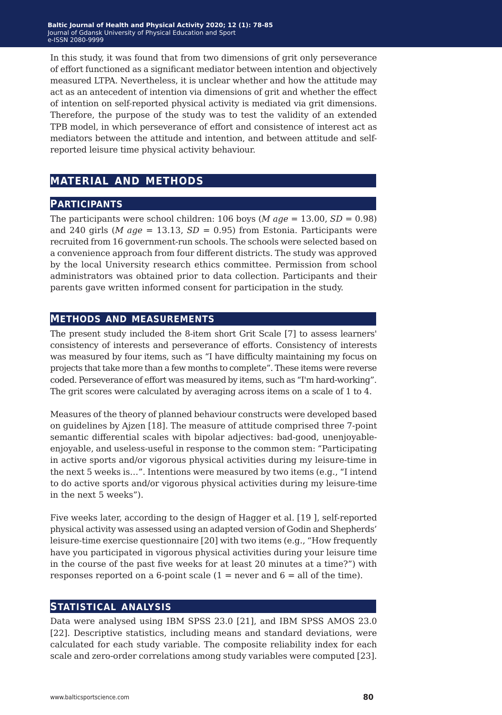In this study, it was found that from two dimensions of grit only perseverance of effort functioned as a significant mediator between intention and objectively measured LTPA. Nevertheless, it is unclear whether and how the attitude may act as an antecedent of intention via dimensions of grit and whether the effect of intention on self-reported physical activity is mediated via grit dimensions. Therefore, the purpose of the study was to test the validity of an extended TPB model, in which perseverance of effort and consistence of interest act as mediators between the attitude and intention, and between attitude and selfreported leisure time physical activity behaviour.

### **material and methods**

#### **participants**

The participants were school children:  $106$  boys (*M* age =  $13.00$ , *SD* = 0.98) and 240 girls (*M age* = 13.13,  $SD = 0.95$ ) from Estonia. Participants were recruited from 16 government-run schools. The schools were selected based on a convenience approach from four different districts. The study was approved by the local University research ethics committee. Permission from school administrators was obtained prior to data collection. Participants and their parents gave written informed consent for participation in the study.

#### **methods and measurements**

The present study included the 8-item short Grit Scale [7] to assess learners' consistency of interests and perseverance of efforts. Consistency of interests was measured by four items, such as "I have difficulty maintaining my focus on projects that take more than a few months to complete". These items were reverse coded. Perseverance of effort was measured by items, such as "I'm hard-working". The grit scores were calculated by averaging across items on a scale of 1 to 4.

Measures of the theory of planned behaviour constructs were developed based on guidelines by Ajzen [18]. The measure of attitude comprised three 7-point semantic differential scales with bipolar adjectives: bad-good, unenjoyableenjoyable, and useless-useful in response to the common stem: "Participating in active sports and/or vigorous physical activities during my leisure-time in the next 5 weeks is…". Intentions were measured by two items (e.g., "I intend to do active sports and/or vigorous physical activities during my leisure-time in the next 5 weeks").

Five weeks later, according to the design of Hagger et al. [19 ], self-reported physical activity was assessed using an adapted version of Godin and Shepherds' leisure-time exercise questionnaire [20] with two items (e.g., "How frequently have you participated in vigorous physical activities during your leisure time in the course of the past five weeks for at least 20 minutes at a time?") with responses reported on a 6-point scale  $(1 =$  never and  $6 =$  all of the time).

#### **statistical analysis**

Data were analysed using IBM SPSS 23.0 [21], and IBM SPSS AMOS 23.0 [22]. Descriptive statistics, including means and standard deviations, were calculated for each study variable. The composite reliability index for each scale and zero-order correlations among study variables were computed [23].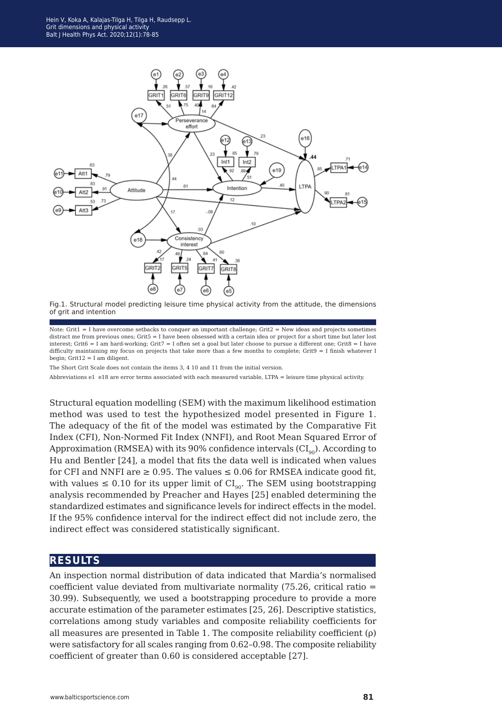

Fig.1. Structural model predicting leisure time physical activity from the attitude, the dimensions of grit and intention

Note: Grit $1 = I$  have overcome setbacks to conquer an important challenge; Grit $2 =$ New ideas and projects sometimes distract me from previous ones; Grit5 = I have been obsessed with a certain idea or project for a short time but later lost interest; Grit6 = I am hard-working; Grit7 = I often set a goal but later choose to pursue a different one; Grit8 = I have difficulty maintaining my focus on projects that take more than a few months to complete; Grit $9 = I$  finish whatever I begin:  $Grit12 = I$  am diligent.

The Short Grit Scale does not contain the items 3, 4 10 and 11 from the initial version.

Abbreviations e1 e18 are error terms associated with each measured variable, LTPA = leisure time physical activity.

Structural equation modelling (SEM) with the maximum likelihood estimation method was used to test the hypothesized model presented in Figure 1. The adequacy of the fit of the model was estimated by the Comparative Fit Index (CFI), Non-Normed Fit Index (NNFI), and Root Mean Squared Error of Approximation (RMSEA) with its 90% confidence intervals  $(Cl<sub>00</sub>)$ . According to Hu and Bentler [24], a model that fits the data well is indicated when values for CFI and NNFI are  $\geq 0.95$ . The values  $\leq 0.06$  for RMSEA indicate good fit, with values  $\leq 0.10$  for its upper limit of CI<sub>90</sub>. The SEM using bootstrapping analysis recommended by Preacher and Hayes [25] enabled determining the standardized estimates and significance levels for indirect effects in the model. If the 95% confidence interval for the indirect effect did not include zero, the indirect effect was considered statistically significant.

#### **results**

An inspection normal distribution of data indicated that Mardia's normalised coefficient value deviated from multivariate normality (75.26, critical ratio = 30.99). Subsequently, we used a bootstrapping procedure to provide a more accurate estimation of the parameter estimates [25, 26]. Descriptive statistics, correlations among study variables and composite reliability coefficients for all measures are presented in Table 1. The composite reliability coefficient (ρ) were satisfactory for all scales ranging from 0.62–0.98. The composite reliability coefficient of greater than 0.60 is considered acceptable [27].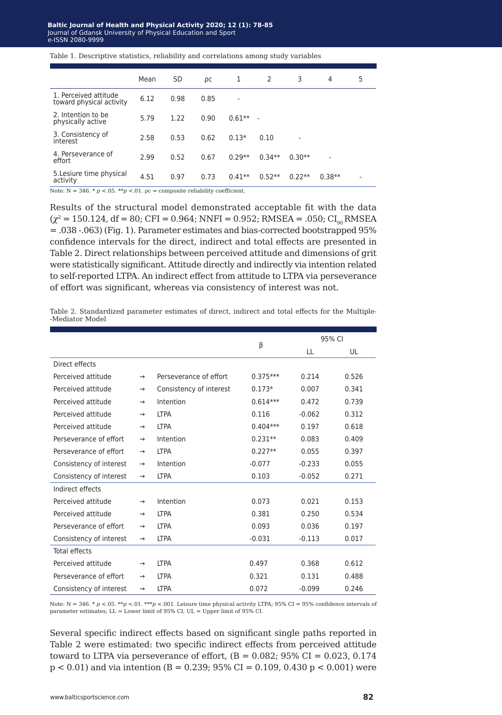Table 1. Descriptive statistics, reliability and correlations among study variables

| Mean | <b>SD</b> | ρc   | 1        | 2        | 3        | 4                        | 5                        |
|------|-----------|------|----------|----------|----------|--------------------------|--------------------------|
| 6.12 | 0.98      | 0.85 |          |          |          |                          |                          |
| 5.79 | 1.22      | 0.90 | $0.61**$ |          |          |                          |                          |
| 2.58 | 0.53      | 0.62 | $0.13*$  | 0.10     |          |                          |                          |
| 2.99 | 0.52      | 0.67 | $0.29**$ | $0.34**$ | $0.30**$ | $\overline{\phantom{a}}$ |                          |
| 4.51 | 0.97      | 0.73 | $0.41**$ | $0.52**$ | $0.22**$ | $0.38**$                 | $\overline{\phantom{a}}$ |
|      |           |      |          |          |          |                          |                          |

Note:  $N = 346$ .  $p < 0.05$ .  $p > 0.01$ .  $p =$  composite reliability coefficient.

Results of the structural model demonstrated acceptable fit with the data  $(\chi^2 = 150.124, df = 80; CFI = 0.964; NNFI = 0.952; RMSEA = .050; CI_{00} RMSEA$ = .038 -.063) (Fig. 1). Parameter estimates and bias-corrected bootstrapped 95% confidence intervals for the direct, indirect and total effects are presented in Table 2. Direct relationships between perceived attitude and dimensions of grit were statistically significant. Attitude directly and indirectly via intention related to self-reported LTPA. An indirect effect from attitude to LTPA via perseverance of effort was significant, whereas via consistency of interest was not.

Table 2. Standardized parameter estimates of direct, indirect and total effects for the Multiple- -Mediator Model

|                         |               |                         |            | 95% CI   |       |  |
|-------------------------|---------------|-------------------------|------------|----------|-------|--|
|                         |               |                         | β          | LL       | UL    |  |
| Direct effects          |               |                         |            |          |       |  |
| Perceived attitude      | $\rightarrow$ | Perseverance of effort  | $0.375***$ | 0.214    | 0.526 |  |
| Perceived attitude      | $\rightarrow$ | Consistency of interest | $0.173*$   | 0.007    | 0.341 |  |
| Perceived attitude      | $\rightarrow$ | Intention               | $0.614***$ | 0.472    | 0.739 |  |
| Perceived attitude      | $\rightarrow$ | <b>LTPA</b>             | 0.116      | $-0.062$ | 0.312 |  |
| Perceived attitude      | $\rightarrow$ | <b>LTPA</b>             | $0.404***$ | 0.197    | 0.618 |  |
| Perseverance of effort  | $\rightarrow$ | Intention               | $0.231**$  | 0.083    | 0.409 |  |
| Perseverance of effort  | $\rightarrow$ | <b>LTPA</b>             | $0.227**$  | 0.055    | 0.397 |  |
| Consistency of interest | $\rightarrow$ | Intention               | $-0.077$   | $-0.233$ | 0.055 |  |
| Consistency of interest | $\rightarrow$ | <b>LTPA</b>             | 0.103      | $-0.052$ | 0.271 |  |
| Indirect effects        |               |                         |            |          |       |  |
| Perceived attitude      | $\rightarrow$ | Intention               | 0.073      | 0.021    | 0.153 |  |
| Perceived attitude      | $\rightarrow$ | <b>LTPA</b>             | 0.381      | 0.250    | 0.534 |  |
| Perseverance of effort  | $\rightarrow$ | <b>LTPA</b>             | 0.093      | 0.036    | 0.197 |  |
| Consistency of interest | $\rightarrow$ | <b>LTPA</b>             | $-0.031$   | $-0.113$ | 0.017 |  |
| <b>Total effects</b>    |               |                         |            |          |       |  |
| Perceived attitude      | $\rightarrow$ | <b>LTPA</b>             | 0.497      | 0.368    | 0.612 |  |
| Perseverance of effort  | $\rightarrow$ | <b>LTPA</b>             | 0.321      | 0.131    | 0.488 |  |
| Consistency of interest | $\rightarrow$ | <b>LTPA</b>             | 0.072      | $-0.099$ | 0.246 |  |

Note:  $N = 346$ .  $* p < 0.05$ .  $** p < 0.01$ . \*\*\* $p < 0.01$ . Leisure time physical activity LTPA; 95% CI = 95% confidence intervals of parameter estimates; LL = Lower limit of 95% CI; UL = Upper limit of 95% CI.

Several specific indirect effects based on significant single paths reported in Table 2 were estimated: two specific indirect effects from perceived attitude toward to LTPA via perseverance of effort,  $(B = 0.082; 95\% \text{ CI} = 0.023, 0.174$  $p < 0.01$ ) and via intention (B = 0.239; 95% CI = 0.109, 0.430 p < 0.001) were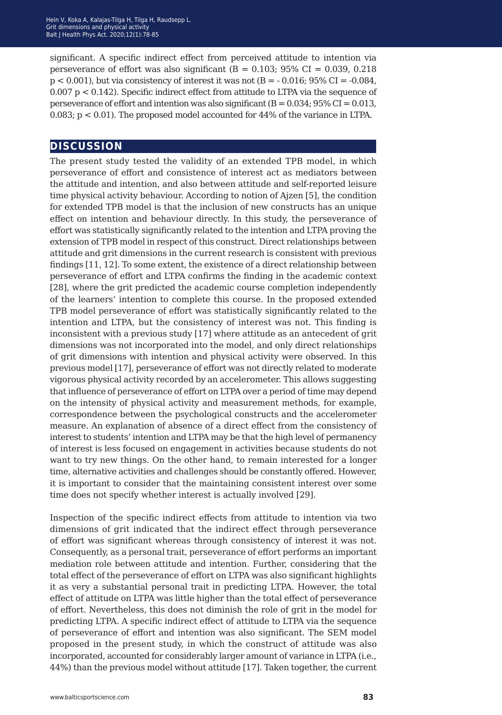significant. A specific indirect effect from perceived attitude to intention via perseverance of effort was also significant ( $B = 0.103$ ; 95% CI = 0.039, 0.218  $p < 0.001$ ), but via consistency of interest it was not  $(B = -0.016; 95\% \text{ CI} = -0.084$ ,  $0.007$  p <  $0.142$ ). Specific indirect effect from attitude to LTPA via the sequence of perseverance of effort and intention was also significant  $(B = 0.034, 95\% \text{ CI} = 0.013$ , 0.083; p < 0.01). The proposed model accounted for 44% of the variance in LTPA.

#### **discussion**

The present study tested the validity of an extended TPB model, in which perseverance of effort and consistence of interest act as mediators between the attitude and intention, and also between attitude and self-reported leisure time physical activity behaviour. According to notion of Ajzen [5], the condition for extended TPB model is that the inclusion of new constructs has an unique effect on intention and behaviour directly. In this study, the perseverance of effort was statistically significantly related to the intention and LTPA proving the extension of TPB model in respect of this construct. Direct relationships between attitude and grit dimensions in the current research is consistent with previous findings [11, 12]. To some extent, the existence of a direct relationship between perseverance of effort and LTPA confirms the finding in the academic context [28], where the grit predicted the academic course completion independently of the learners' intention to complete this course. In the proposed extended TPB model perseverance of effort was statistically significantly related to the intention and LTPA, but the consistency of interest was not. This finding is inconsistent with a previous study [17] where attitude as an antecedent of grit dimensions was not incorporated into the model, and only direct relationships of grit dimensions with intention and physical activity were observed. In this previous model [17], perseverance of effort was not directly related to moderate vigorous physical activity recorded by an accelerometer. This allows suggesting that influence of perseverance of effort on LTPA over a period of time may depend on the intensity of physical activity and measurement methods, for example, correspondence between the psychological constructs and the accelerometer measure. An explanation of absence of a direct effect from the consistency of interest to students' intention and LTPA may be that the high level of permanency of interest is less focused on engagement in activities because students do not want to try new things. On the other hand, to remain interested for a longer time, alternative activities and challenges should be constantly offered. However, it is important to consider that the maintaining consistent interest over some time does not specify whether interest is actually involved [29].

Inspection of the specific indirect effects from attitude to intention via two dimensions of grit indicated that the indirect effect through perseverance of effort was significant whereas through consistency of interest it was not. Consequently, as a personal trait, perseverance of effort performs an important mediation role between attitude and intention. Further, considering that the total effect of the perseverance of effort on LTPA was also significant highlights it as very a substantial personal trait in predicting LTPA. However, the total effect of attitude on LTPA was little higher than the total effect of perseverance of effort. Nevertheless, this does not diminish the role of grit in the model for predicting LTPA. A specific indirect effect of attitude to LTPA via the sequence of perseverance of effort and intention was also significant. The SEM model proposed in the present study, in which the construct of attitude was also incorporated, accounted for considerably larger amount of variance in LTPA (i.e., 44%) than the previous model without attitude [17]. Taken together, the current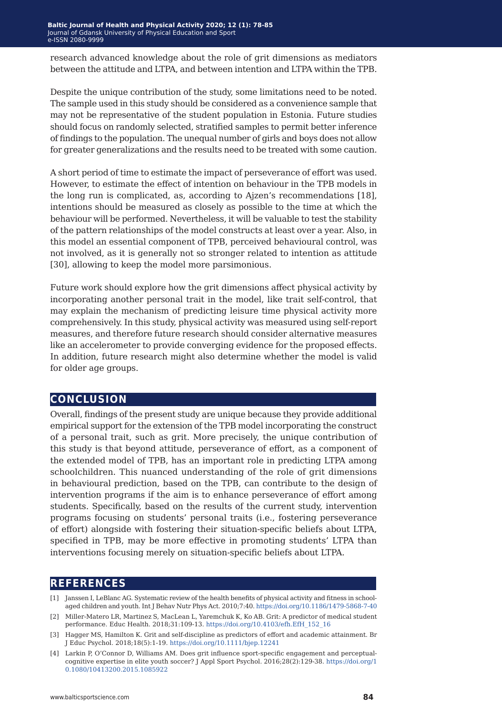research advanced knowledge about the role of grit dimensions as mediators between the attitude and LTPA, and between intention and LTPA within the TPB.

Despite the unique contribution of the study, some limitations need to be noted. The sample used in this study should be considered as a convenience sample that may not be representative of the student population in Estonia. Future studies should focus on randomly selected, stratified samples to permit better inference of findings to the population. The unequal number of girls and boys does not allow for greater generalizations and the results need to be treated with some caution.

A short period of time to estimate the impact of perseverance of effort was used. However, to estimate the effect of intention on behaviour in the TPB models in the long run is complicated, as, according to Ajzen's recommendations [18], intentions should be measured as closely as possible to the time at which the behaviour will be performed. Nevertheless, it will be valuable to test the stability of the pattern relationships of the model constructs at least over a year. Also, in this model an essential component of TPB, perceived behavioural control, was not involved, as it is generally not so stronger related to intention as attitude [30], allowing to keep the model more parsimonious.

Future work should explore how the grit dimensions affect physical activity by incorporating another personal trait in the model, like trait self-control, that may explain the mechanism of predicting leisure time physical activity more comprehensively. In this study, physical activity was measured using self-report measures, and therefore future research should consider alternative measures like an accelerometer to provide converging evidence for the proposed effects. In addition, future research might also determine whether the model is valid for older age groups.

#### **conclusion**

Overall, findings of the present study are unique because they provide additional empirical support for the extension of the TPB model incorporating the construct of a personal trait, such as grit. More precisely, the unique contribution of this study is that beyond attitude, perseverance of effort, as a component of the extended model of TPB, has an important role in predicting LTPA among schoolchildren. This nuanced understanding of the role of grit dimensions in behavioural prediction, based on the TPB, can contribute to the design of intervention programs if the aim is to enhance perseverance of effort among students. Specifically, based on the results of the current study, intervention programs focusing on students' personal traits (i.e., fostering perseverance of effort) alongside with fostering their situation-specific beliefs about LTPA, specified in TPB, may be more effective in promoting students' LTPA than interventions focusing merely on situation-specific beliefs about LTPA.

#### **references**

- [1] Janssen I, LeBlanc AG. Systematic review of the health benefits of physical activity and fitness in schoolaged children and youth. Int J Behav Nutr Phys Act. 2010;7:40.<https://doi.org/10.1186/1479-5868-7-40>
- [2] Miller-Matero LR, Martinez S, MacLean L, Yaremchuk K, Ko AB. Grit: A predictor of medical student performance. Educ Health. 2018;31:109-13. [https://doi.org/10.4103/efh.EfH\\_152\\_16](https://doi.org/10.4103/efh.EfH_152_16)
- [3] Hagger MS, Hamilton K. Grit and self-discipline as predictors of effort and academic attainment. Br J Educ Psychol. 2018;18(5):1-19. <https://doi.org/10.1111/bjep.12241>
- [4] Larkin P, O'Connor D, Williams AM. Does grit influence sport-specific engagement and perceptualcognitive expertise in elite youth soccer? J Appl Sport Psychol. 2016;28(2):129-38. [https://doi.org/1](https://doi.org/10.1080/10413200.2015.1085922) [0.1080/10413200.2015.1085922](https://doi.org/10.1080/10413200.2015.1085922)